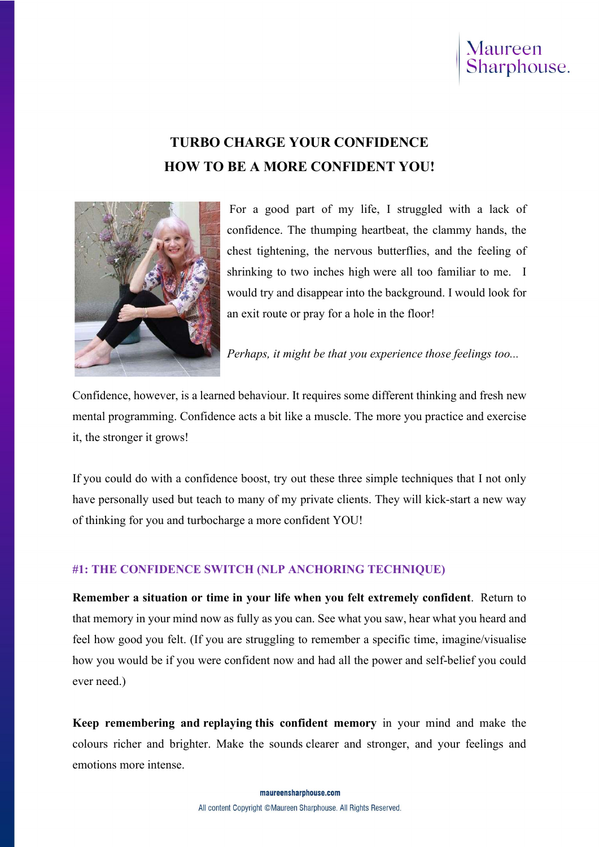# Maureen<br>Sharphouse.

## TURBO CHARGE YOUR CONFIDENCE HOW TO BE A MORE CONFIDENT YOU!



For a good part of my life, I struggled with a lack of confidence. The thumping heartbeat, the clammy hands, the chest tightening, the nervous butterflies, and the feeling of shrinking to two inches high were all too familiar to me. I would try and disappear into the background. I would look for an exit route or pray for a hole in the floor!

Perhaps, it might be that you experience those feelings too...

Confidence, however, is a learned behaviour. It requires some different thinking and fresh new mental programming. Confidence acts a bit like a muscle. The more you practice and exercise it, the stronger it grows!

If you could do with a confidence boost, try out these three simple techniques that I not only have personally used but teach to many of my private clients. They will kick-start a new way of thinking for you and turbocharge a more confident YOU!

#### #1: THE CONFIDENCE SWITCH (NLP ANCHORING TECHNIQUE)

Remember a situation or time in your life when you felt extremely confident. Return to that memory in your mind now as fully as you can. See what you saw, hear what you heard and feel how good you felt. (If you are struggling to remember a specific time, imagine/visualise how you would be if you were confident now and had all the power and self-belief you could ever need.)

Keep remembering and replaying this confident memory in your mind and make the colours richer and brighter. Make the sounds clearer and stronger, and your feelings and emotions more intense.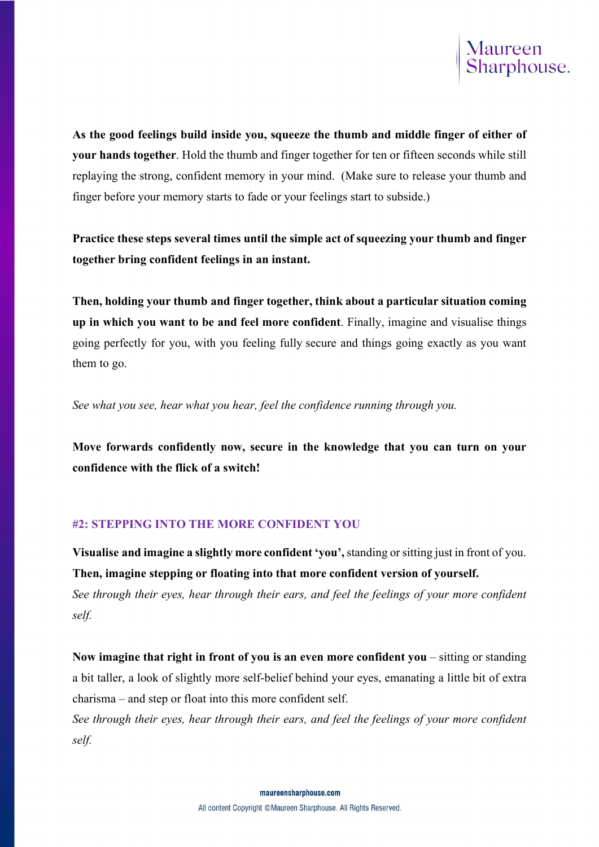

As the good feelings build inside you, squeeze the thumb and middle finger of either of your hands together. Hold the thumb and finger together for ten or fifteen seconds while still replaying the strong, confident memory in your mind. (Make sure to release your thumb and finger before your memory starts to fade or your feelings start to subside.)

Practice these steps several times until the simple act of squeezing your thumb and finger together bring confident feelings in an instant.

Then, holding your thumb and finger together, think about a particular situation coming up in which you want to be and feel more confident. Finally, imagine and visualise things going perfectly for you, with you feeling fully secure and things going exactly as you want them to go.

See what you see, hear what you hear, feel the confidence running through you.

Move forwards confidently now, secure in the knowledge that you can turn on your confidence with the flick of a switch!

#### #2: STEPPING INTO THE MORE CONFIDENT YOU

Visualise and imagine a slightly more confident 'you', standing or sitting just in front of you. Then, imagine stepping or floating into that more confident version of yourself. See through their eyes, hear through their ears, and feel the feelings of your more confident self.

Now imagine that right in front of you is an even more confident you – sitting or standing a bit taller, a look of slightly more self-belief behind your eyes, emanating a little bit of extra charisma – and step or float into this more confident self.

See through their eyes, hear through their ears, and feel the feelings of your more confident self.